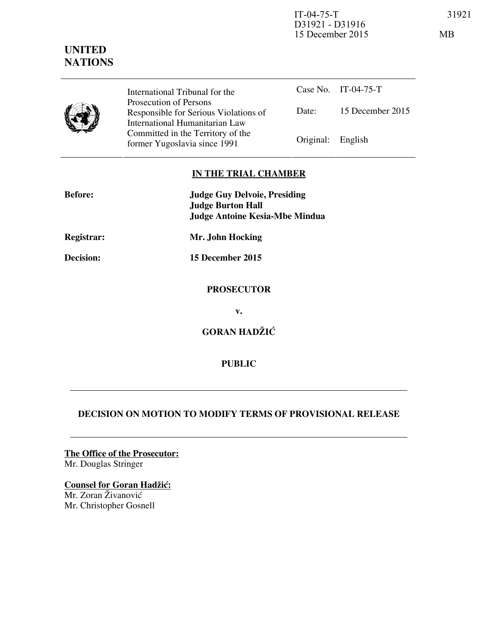IT-04-75-T 31921 D31921 - D31916 15 December 2015 MB

| <b>UNITED</b>  |
|----------------|
| <b>NATIONS</b> |

International Tribunal for the Prosecution of Persons Responsible for Serious Violations of International Humanitarian Law Committed in the Territory of the Former Yugoslavia since 1991 Original: English

Case No. IT-04-75-T Date: 15 December 2015

## **IN THE TRIAL CHAMBER**

| <b>Before:</b> | <b>Judge Guy Delvoie, Presiding</b>   |
|----------------|---------------------------------------|
|                | <b>Judge Burton Hall</b>              |
|                | <b>Judge Antoine Kesia-Mbe Mindua</b> |
| Registrar:     | Mr. John Hocking                      |
| Decision:      | 15 December 2015                      |
|                | <b>PROSECUTOR</b>                     |
|                | v.                                    |
|                | <b>GORAN HADŽIĆ</b>                   |
|                | <b>PUBLIC</b>                         |

## **DECISION ON MOTION TO MODIFY TERMS OF PROVISIONAL RELEASE**

**The Office of the Prosecutor:** Mr. Douglas Stringer

**Counsel for Goran Hadžić:** Mr. Zoran Živanović Mr. Christopher Gosnell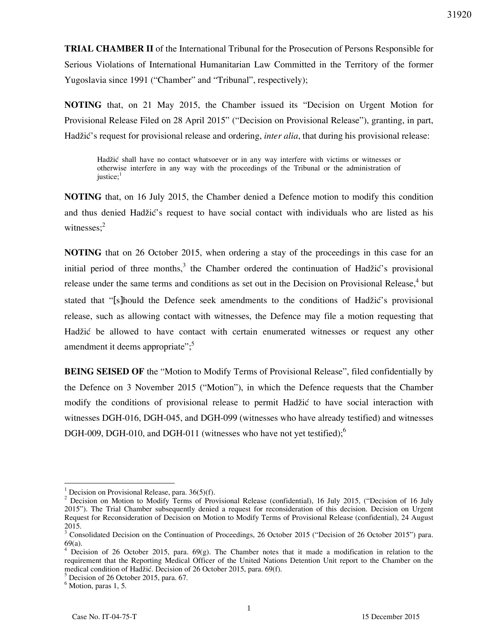**TRIAL CHAMBER II** of the International Tribunal for the Prosecution of Persons Responsible for Serious Violations of International Humanitarian Law Committed in the Territory of the former Yugoslavia since 1991 ("Chamber" and "Tribunal", respectively);

**NOTING** that, on 21 May 2015, the Chamber issued its "Decision on Urgent Motion for Provisional Release Filed on 28 April 2015" ("Decision on Provisional Release"), granting, in part, Hadžić's request for provisional release and ordering, *inter alia*, that during his provisional release:

Hadžić shall have no contact whatsoever or in any way interfere with victims or witnesses or otherwise interfere in any way with the proceedings of the Tribunal or the administration of  $justice:$ <sup>1</sup>

**NOTING** that, on 16 July 2015, the Chamber denied a Defence motion to modify this condition and thus denied Hadžić's request to have social contact with individuals who are listed as his witnesses; $2$ 

**NOTING** that on 26 October 2015, when ordering a stay of the proceedings in this case for an initial period of three months,<sup>3</sup> the Chamber ordered the continuation of Hadžić's provisional release under the same terms and conditions as set out in the Decision on Provisional Release,<sup>4</sup> but stated that "[s]hould the Defence seek amendments to the conditions of Hadžić's provisional release, such as allowing contact with witnesses, the Defence may file a motion requesting that Hadžić be allowed to have contact with certain enumerated witnesses or request any other amendment it deems appropriate";<sup>5</sup>

**BEING SEISED OF** the "Motion to Modify Terms of Provisional Release", filed confidentially by the Defence on 3 November 2015 ("Motion"), in which the Defence requests that the Chamber modify the conditions of provisional release to permit Hadžić to have social interaction with witnesses DGH-016, DGH-045, and DGH-099 (witnesses who have already testified) and witnesses DGH-009, DGH-010, and DGH-011 (witnesses who have not yet testified); $<sup>6</sup>$ </sup>

<sup>&</sup>lt;sup>1</sup> Decision on Provisional Release, para.  $36(5)(f)$ .

<sup>&</sup>lt;sup>2</sup> Decision on Motion to Modify Terms of Provisional Release (confidential), 16 July 2015, ("Decision of 16 July 2015"). The Trial Chamber subsequently denied a request for reconsideration of this decision. Decision on Urgent Request for Reconsideration of Decision on Motion to Modify Terms of Provisional Release (confidential), 24 August 2015.

<sup>&</sup>lt;sup>3</sup> Consolidated Decision on the Continuation of Proceedings, 26 October 2015 ("Decision of 26 October 2015") para. 69(a).

<sup>&</sup>lt;sup>4</sup> Decision of 26 October 2015, para. 69(g). The Chamber notes that it made a modification in relation to the requirement that the Reporting Medical Officer of the United Nations Detention Unit report to the Chamber on the medical condition of Hadžić. Decision of 26 October 2015, para. 69(f).

<sup>5</sup> Decision of 26 October 2015, para. 67.

<sup>&</sup>lt;sup>6</sup> Motion, paras 1, 5.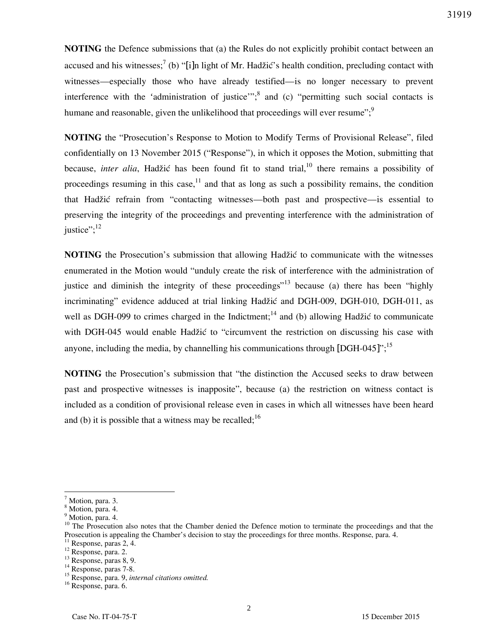**NOTING** the Defence submissions that (a) the Rules do not explicitly prohibit contact between an accused and his witnesses;<sup>7</sup> (b) "[i]n light of Mr. Hadžić's health condition, precluding contact with witnesses—especially those who have already testified—is no longer necessary to prevent interference with the 'administration of justice'";  $\delta$  and (c) "permitting such social contacts is humane and reasonable, given the unlikelihood that proceedings will ever resume"; $\frac{9}{5}$ 

**NOTING** the "Prosecution's Response to Motion to Modify Terms of Provisional Release", filed confidentially on 13 November 2015 ("Response"), in which it opposes the Motion, submitting that because, *inter alia*, Hadžić has been found fit to stand trial,<sup>10</sup> there remains a possibility of proceedings resuming in this case,  $11$  and that as long as such a possibility remains, the condition that Hadžić refrain from "contacting witnesses—both past and prospective—is essential to preserving the integrity of the proceedings and preventing interference with the administration of iustice": $12$ 

**NOTING** the Prosecution's submission that allowing Hadžić to communicate with the witnesses enumerated in the Motion would "unduly create the risk of interference with the administration of justice and diminish the integrity of these proceedings<sup> $13$ </sup> because (a) there has been "highly incriminating" evidence adduced at trial linking Hadžić and DGH-009, DGH-010, DGH-011, as well as DGH-099 to crimes charged in the Indictment;<sup>14</sup> and (b) allowing Hadžić to communicate with DGH-045 would enable Hadžić to "circumvent the restriction on discussing his case with anyone, including the media, by channelling his communications through  $[{\rm DGH-045}]$ <sup>",15</sup>

**NOTING** the Prosecution's submission that "the distinction the Accused seeks to draw between past and prospective witnesses is inapposite", because (a) the restriction on witness contact is included as a condition of provisional release even in cases in which all witnesses have been heard and (b) it is possible that a witness may be recalled;  $16$ 

<sup>7</sup> Motion, para. 3.

<sup>8</sup> Motion, para. 4.

<sup>&</sup>lt;sup>9</sup> Motion, para. 4.

<sup>&</sup>lt;sup>10</sup> The Prosecution also notes that the Chamber denied the Defence motion to terminate the proceedings and that the Prosecution is appealing the Chamber's decision to stay the proceedings for three months. Response, para. 4.

<sup>&</sup>lt;sup>11</sup> Response, paras 2, 4.

<sup>12</sup> Response, para. 2.

 $13$  Response, paras 8, 9.

 $14$  Response, paras 7-8.

<sup>15</sup> Response, para. 9, *internal citations omitted.* 

<sup>16</sup> Response, para. 6.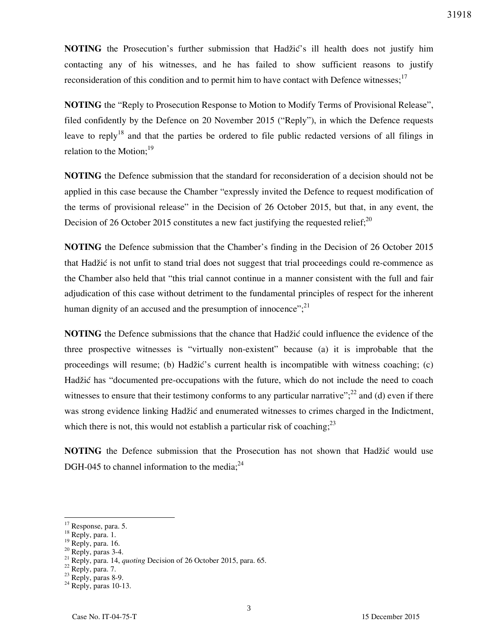**NOTING** the Prosecution's further submission that Hadžić's ill health does not justify him contacting any of his witnesses, and he has failed to show sufficient reasons to justify reconsideration of this condition and to permit him to have contact with Defence witnesses;<sup>17</sup>

**NOTING** the "Reply to Prosecution Response to Motion to Modify Terms of Provisional Release", filed confidently by the Defence on 20 November 2015 ("Reply"), in which the Defence requests leave to reply<sup>18</sup> and that the parties be ordered to file public redacted versions of all filings in relation to the Motion; $^{19}$ 

**NOTING** the Defence submission that the standard for reconsideration of a decision should not be applied in this case because the Chamber "expressly invited the Defence to request modification of the terms of provisional release" in the Decision of 26 October 2015, but that, in any event, the Decision of 26 October 2015 constitutes a new fact justifying the requested relief;<sup>20</sup>

**NOTING** the Defence submission that the Chamber's finding in the Decision of 26 October 2015 that Hadžić is not unfit to stand trial does not suggest that trial proceedings could re-commence as the Chamber also held that "this trial cannot continue in a manner consistent with the full and fair adjudication of this case without detriment to the fundamental principles of respect for the inherent human dignity of an accused and the presumption of innocence"; $^{21}$ 

**NOTING** the Defence submissions that the chance that Hadžić could influence the evidence of the three prospective witnesses is "virtually non-existent" because (a) it is improbable that the proceedings will resume; (b) Hadžić's current health is incompatible with witness coaching; (c) Hadžić has "documented pre-occupations with the future, which do not include the need to coach witnesses to ensure that their testimony conforms to any particular narrative"; $^{22}$  and (d) even if there was strong evidence linking Hadžić and enumerated witnesses to crimes charged in the Indictment, which there is not, this would not establish a particular risk of coaching;  $2^3$ 

**NOTING** the Defence submission that the Prosecution has not shown that Hadžić would use DGH-045 to channel information to the media; $^{24}$ 

<sup>&</sup>lt;sup>17</sup> Response, para. 5.

<sup>18</sup> Reply, para. 1.

 $^{19}$  Reply, para. 16.

 $20$  Reply, paras 3-4.

<sup>21</sup> Reply, para. 14, *quoting* Decision of 26 October 2015, para. 65.

<sup>&</sup>lt;sup>22</sup> Reply, para. 7.

 $23$  Reply, paras 8-9.

 $24$  Reply, paras 10-13.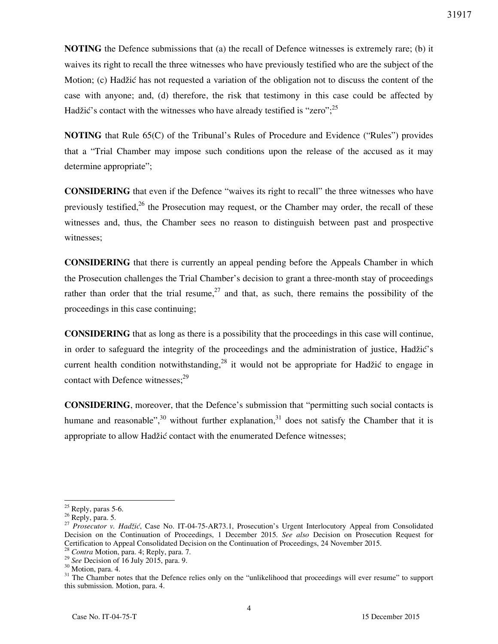**NOTING** the Defence submissions that (a) the recall of Defence witnesses is extremely rare; (b) it waives its right to recall the three witnesses who have previously testified who are the subject of the Motion; (c) Hadžić has not requested a variation of the obligation not to discuss the content of the case with anyone; and, (d) therefore, the risk that testimony in this case could be affected by Hadžić's contact with the witnesses who have already testified is "zero";  $^{25}$ 

**NOTING** that Rule 65(C) of the Tribunal's Rules of Procedure and Evidence ("Rules") provides that a "Trial Chamber may impose such conditions upon the release of the accused as it may determine appropriate";

**CONSIDERING** that even if the Defence "waives its right to recall" the three witnesses who have previously testified,  $26$  the Prosecution may request, or the Chamber may order, the recall of these witnesses and, thus, the Chamber sees no reason to distinguish between past and prospective witnesses;

**CONSIDERING** that there is currently an appeal pending before the Appeals Chamber in which the Prosecution challenges the Trial Chamber's decision to grant a three-month stay of proceedings rather than order that the trial resume,  $27$  and that, as such, there remains the possibility of the proceedings in this case continuing;

**CONSIDERING** that as long as there is a possibility that the proceedings in this case will continue, in order to safeguard the integrity of the proceedings and the administration of justice, Hadžić's current health condition notwithstanding,  $28$  it would not be appropriate for Hadžić to engage in contact with Defence witnesses; $29$ 

**CONSIDERING**, moreover, that the Defence's submission that "permitting such social contacts is humane and reasonable",<sup>30</sup> without further explanation,<sup>31</sup> does not satisfy the Chamber that it is appropriate to allow Hadžić contact with the enumerated Defence witnesses;

 $\overline{a}$  $25$  Reply, paras 5-6.

<sup>&</sup>lt;sup>26</sup> Reply, para. 5.

<sup>27</sup> *Prosecutor v. Hadžić*, Case No. IT-04-75-AR73.1, Prosecution's Urgent Interlocutory Appeal from Consolidated Decision on the Continuation of Proceedings, 1 December 2015. *See also* Decision on Prosecution Request for Certification to Appeal Consolidated Decision on the Continuation of Proceedings, 24 November 2015.

<sup>28</sup> *Contra* Motion, para. 4; Reply, para. 7.

<sup>29</sup> *See* Decision of 16 July 2015, para. 9.

<sup>&</sup>lt;sup>30</sup> Motion, para. 4.

<sup>&</sup>lt;sup>31</sup> The Chamber notes that the Defence relies only on the "unlikelihood that proceedings will ever resume" to support this submission. Motion, para. 4.